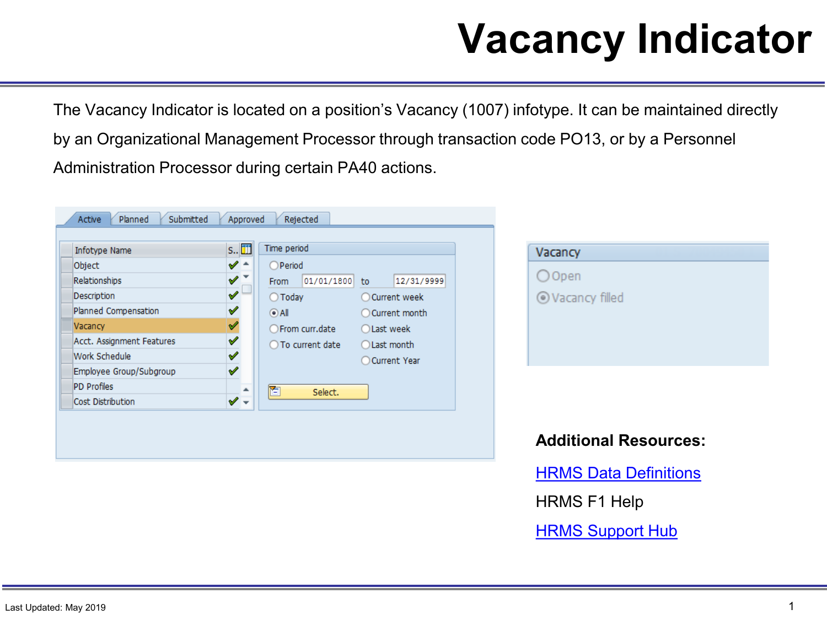# **Vacancy Indicator**

The Vacancy Indicator is located on a position's Vacancy (1007) infotype. It can be maintained directly by an Organizational Management Processor through transaction code PO13, or by a Personnel Administration Processor during certain PA40 actions.

| Time period<br>s.<br>Infotype Name<br>$\checkmark$ -<br>OPeriod<br>Object<br>〃™<br>Relationships<br>From<br>✔<br>Description<br>$\bigcirc$ Today<br>✔<br>Planned Compensation<br>$\odot$ All<br>✔<br>Vacancy<br>○ From curr.date | Vacancy<br>$O$ Open<br>01/01/1800<br>12/31/9999<br>to<br>○ Current week |                              |
|----------------------------------------------------------------------------------------------------------------------------------------------------------------------------------------------------------------------------------|-------------------------------------------------------------------------|------------------------------|
| ♦<br>Acct. Assignment Features<br>◯ To current date<br>$\checkmark$<br>Work Schedule                                                                                                                                             | ○ Current month<br>◯ Last week<br>◯ Last month<br>◯ Current Year        | ⊙ Vacancy filled             |
| $\checkmark$<br>Employee Group/Subgroup<br><b>PD Profiles</b><br>ħ<br>$\checkmark$ .<br>Cost Distribution                                                                                                                        | Select.                                                                 | <b>Additional Resources:</b> |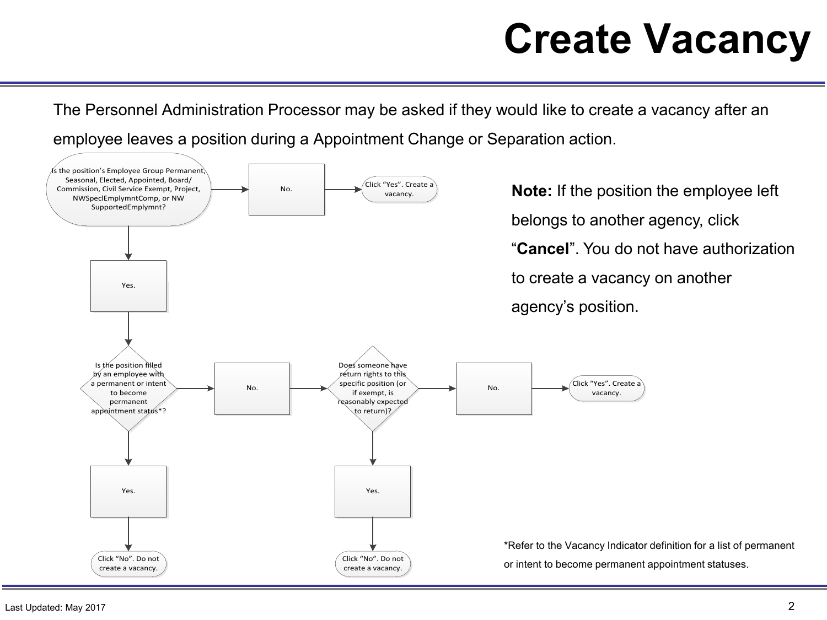## **Create Vacancy**

The Personnel Administration Processor may be asked if they would like to create a vacancy after an employee leaves a position during a Appointment Change or Separation action.

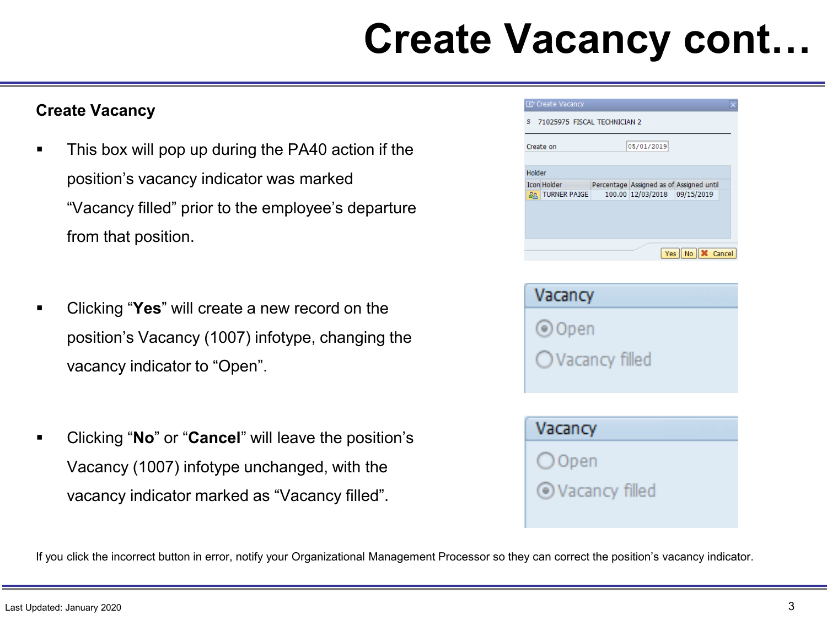### **Create Vacancy cont…**

#### **Create Vacancy**

- This box will pop up during the PA40 action if the position's vacancy indicator was marked "Vacancy filled" prior to the employee's departure from that position.
- Clicking "**Yes**" will create a new record on the position's Vacancy (1007) infotype, changing the vacancy indicator to "Open".
- Clicking "**No**" or "**Cancel**" will leave the position's Vacancy (1007) infotype unchanged, with the vacancy indicator marked as "Vacancy filled".

| Create Vacancy               |
|------------------------------|
| 71025975 FISCAL TECHNICIAN 2 |
|                              |

 $\mathbf S$ 

| Create on          |                     | 05/01/2019                               |                                      |  |
|--------------------|---------------------|------------------------------------------|--------------------------------------|--|
|                    |                     |                                          |                                      |  |
| Holder             |                     |                                          |                                      |  |
| <b>Icon Holder</b> |                     | Percentage Assigned as of Assigned until |                                      |  |
| ఊ                  | <b>TURNER PAIGE</b> | 100.00 12/03/2018 09/15/2019             |                                      |  |
|                    |                     |                                          |                                      |  |
|                    |                     |                                          |                                      |  |
|                    |                     |                                          |                                      |  |
|                    |                     |                                          |                                      |  |
|                    |                     |                                          |                                      |  |
|                    |                     |                                          | Yes $\ $ No $\ $ $\mathsf{X}$ Cancel |  |

| Vacancy                   |  |
|---------------------------|--|
| () Open                   |  |
| $\bigcirc$ Vacancy filled |  |
|                           |  |
| Vacancy                   |  |
| $\bigcirc$ Open           |  |

© Vacancy filled

If you click the incorrect button in error, notify your Organizational Management Processor so they can correct the position's vacancy indicator.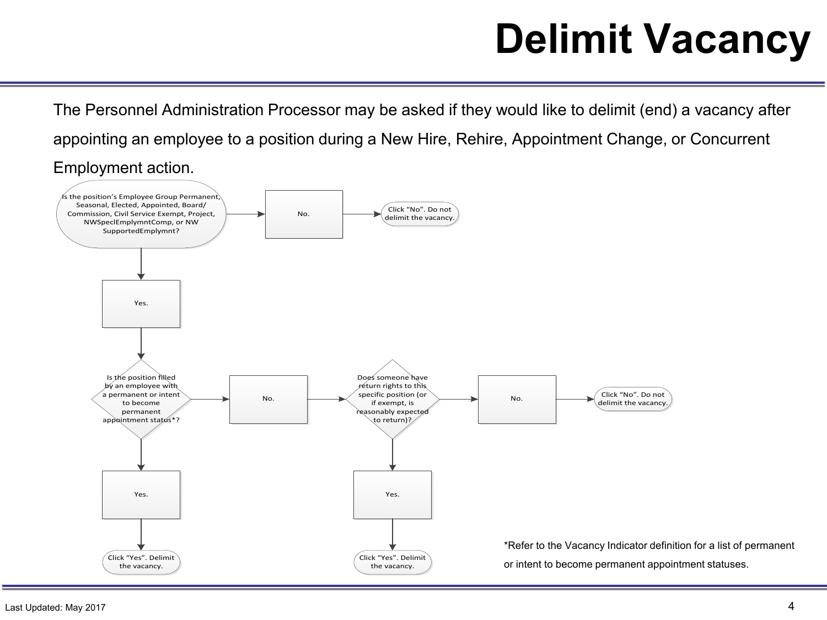# **Delimit Vacancy**

The Personnel Administration Processor may be asked if they would like to delimit (end) a vacancy after appointing an employee to a position during a New Hire, Rehire, Appointment Change, or Concurrent Employment action.